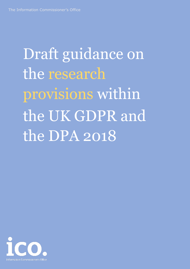<span id="page-0-0"></span>Draft guidance on the research provisions within the UK GDPR and the DPA 2018

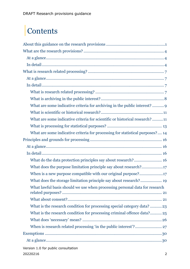# |Contents

| What are some indicative criteria for archiving in the public interest?  9    |
|-------------------------------------------------------------------------------|
|                                                                               |
| What are some indicative criteria for scientific or historical research? 11   |
|                                                                               |
| What are some indicative criteria for processing for statistical purposes? 14 |
|                                                                               |
|                                                                               |
|                                                                               |
| What do the data protection principles say about research? 16                 |
| What does the purpose limitation principle say about research?17              |
| When is a new purpose compatible with our original purpose?17                 |
| What does the storage limitation principle say about research? 19             |
| What lawful basis should we use when processing personal data for research    |
|                                                                               |
| What is the research condition for processing special category data?23        |
| What is the research condition for processing criminal offence data? 25       |
|                                                                               |
|                                                                               |
|                                                                               |
|                                                                               |
|                                                                               |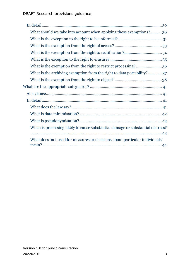| What should we take into account when applying these exemptions? 30            |
|--------------------------------------------------------------------------------|
|                                                                                |
|                                                                                |
|                                                                                |
|                                                                                |
| What is the exemption from the right to restrict processing?36                 |
| What is the archiving exemption from the right to data portability? 37         |
|                                                                                |
|                                                                                |
|                                                                                |
|                                                                                |
|                                                                                |
|                                                                                |
|                                                                                |
| When is processing likely to cause substantial damage or substantial distress? |
|                                                                                |
| What does 'not used for measures or decisions about particular individuals'    |
|                                                                                |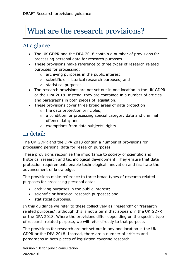# <span id="page-3-0"></span>|What are the research provisions?

# <span id="page-3-1"></span>At a glance:

- The UK GDPR and the DPA 2018 contain a number of provisions for processing personal data for research purposes.
- These provisions make reference to three types of research related purposes for processing:
	- o archiving purposes in the public interest;
	- o scientific or historical research purposes; and
	- o statistical purposes.
- The research provisions are not set out in one location in the UK GDPR or the DPA 2018. Instead, they are contained in a number of articles and paragraphs in both pieces of legislation.
- These provisions cover three broad areas of data protection:
	- $\circ$  the data protection principles;
	- o a condition for processing special category data and criminal offence data; and
	- o exemptions from data subjects' rights.

# <span id="page-3-2"></span>In detail:

The UK GDPR and the DPA 2018 contain a number of provisions for processing personal data for research purposes.

These provisions recognise the importance to society of scientific and historical research and technological development. They ensure that data protection requirements enable technological innovation and facilitate the advancement of knowledge.

The provisions make reference to three broad types of research related purposes for processing personal data:

- archiving purposes in the public interest;
- scientific or historical research purposes; and
- statistical purposes.

In this guidance we refer to these collectively as "research" or "research related purposes", although this is not a term that appears in the UK GDPR or the DPA 2018. Where the provisions differ depending on the specific type of research related purpose, we will refer directly to that purpose.

The provisions for research are not set out in any one location in the UK GDPR or the DPA 2018. Instead, there are a number of articles and paragraphs in both pieces of legislation covering research.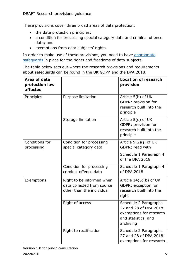These provisions cover three broad areas of data protection:

- the data protection principles;
- a condition for processing special category data and criminal offence data; and
- exemptions from data subjects' rights.

In order to make use of these provisions, you need to have appropriate [safeguards](#page-40-0) in place for the rights and freedoms of data subjects.

The table below sets out where the research provisions and requirements about safeguards can be found in the UK GDPR and the DPA 2018.

| Area of data<br>protection law<br>affected |                                                                                      | <b>Location of research</b><br>provision                                                                       |
|--------------------------------------------|--------------------------------------------------------------------------------------|----------------------------------------------------------------------------------------------------------------|
| Principles                                 | Purpose limitation                                                                   | Article 5(b) of UK<br>GDPR: provision for<br>research built into the<br>principle                              |
|                                            | Storage limitation                                                                   | Article 5(e) of UK<br>GDPR: provision for<br>research built into the<br>principle                              |
| Conditions for<br>processing               | Condition for processing<br>special category data                                    | Article $9(2)(j)$ of UK<br>GDPR; read with                                                                     |
|                                            |                                                                                      | Schedule 1 Paragraph 4<br>of the DPA 2018                                                                      |
|                                            | Condition for processing<br>criminal offence data                                    | Schedule 1 Paragraph 4<br>of DPA 2018                                                                          |
| Exemptions                                 | Right to be informed when<br>data collected from source<br>other than the individual | Article $14(5)(b)$ of UK<br>GDPR: exception for<br>research built into the<br>right                            |
|                                            | Right of access                                                                      | Schedule 2 Paragraphs<br>27 and 28 of DPA 2018:<br>exemptions for research<br>and statistics, and<br>archiving |
|                                            | Right to rectification                                                               | Schedule 2 Paragraphs<br>27 and 28 of DPA 2018:<br>exemptions for research                                     |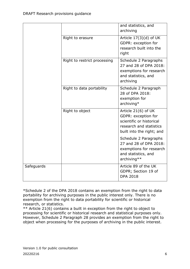|            |                              | and statistics, and<br>archiving                                                                                               |
|------------|------------------------------|--------------------------------------------------------------------------------------------------------------------------------|
|            | Right to erasure             | Article 17(3)(d) of UK<br>GDPR: exception for<br>research built into the<br>right                                              |
|            | Right to restrict processing | Schedule 2 Paragraphs<br>27 and 28 of DPA 2018:<br>exemptions for research<br>and statistics, and<br>archiving                 |
|            | Right to data portability    | Schedule 2 Paragraph<br>28 of DPA 2018:<br>exemption for<br>archiving*                                                         |
|            | Right to object              | Article 21(6) of UK<br>GDPR: exception for<br>scientific or historical<br>research and statistics<br>built into the right; and |
|            |                              | Schedule 2 Paragraphs<br>27 and 28 of DPA 2018:<br>exemptions for research<br>and statistics, and<br>archiving**               |
| Safeguards |                              | Article 89 of the UK<br>GDPR; Section 19 of<br><b>DPA 2018</b>                                                                 |

\*Schedule 2 of the DPA 2018 contains an exemption from the right to data portability for archiving purposes in the public interest only. There is no exemption from the right to data portability for scientific or historical research, or statistics.

\*\* Article 21(6) contains a built in exception from the right to object to processing for scientific or historical research and statistical purposes only. However, Schedule 2 Paragraph 28 provides an exemption from the right to object when processing for the purposes of archiving in the public interest.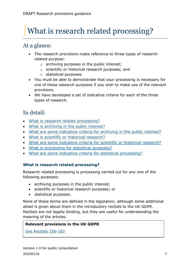# <span id="page-6-0"></span>What is research related processing?

# <span id="page-6-1"></span>At a glance:

- The research provisions make reference to three types of research related purpose:
	- o archiving purposes in the public interest;
	- o scientific or historical research purposes; and
	- o statistical purposes.
- You must be able to demonstrate that your processing is necessary for one of these research purposes if you wish to make use of the relevant provisions.
- We have developed a set of indicative criteria for each of the three types of research.

# <span id="page-6-2"></span>In detail:

- [What is research related processing?](#page-6-3)
- [What is archiving in the public interest?](#page-7-0)
- [What are some indicative criteria for archiving in the public interest?](#page-8-0)
- [What is scientific or historical research?](#page-9-0)
- [What are some indicative criteria for scientific or historical research?](#page-10-0)
- [What is processing for statistical purposes?](#page-12-0)
- [What are some indicative criteria for statistical processing?](#page-13-0)

## <span id="page-6-3"></span>**What is research related processing?**

Research related processing is processing carried out for any one of the following purposes:

- archiving purposes in the public interest;
- scientific or historical research purposes; or
- statistical purposes.

None of these terms are defined in the legislation, although some additional detail is given about them in the introductory recitals to the UK GDPR. Recitals are not legally binding, but they are useful for understanding the meaning of the articles.

#### **Relevant provisions in the UK GDPR**

[See Recitals 156-163](https://www.legislation.gov.uk/eur/2016/679/introduction)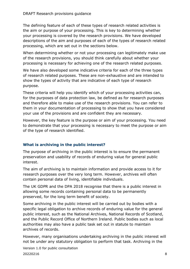The defining feature of each of these types of research related activities is the aim or purpose of your processing. This is key to determining whether your processing is covered by the research provisions. We have developed descriptions of the aim and purposes of each of the types of research related processing, which are set out in the sections below.

When determining whether or not your processing can legitimately make use of the research provisions, you should think carefully about whether your processing is necessary for achieving one of the research related purposes.

We have also developed some indicative criteria for each of the three types of research related purposes. These are non-exhaustive and are intended to show the types of activity that are indicative of each type of research purpose.

These criteria will help you identify which of your processing activities can, for the purposes of data protection law, be defined as for research purposes and therefore able to make use of the research provisions. You can refer to them in your documentation of processing to show that you have considered your use of the provisions and are confident they are necessary.

However, the key feature is the purpose or aim of your processing. You need to demonstrate that your processing is necessary to meet the purpose or aim of the type of research identified.

## <span id="page-7-0"></span>**What is archiving in the public interest?**

The purpose of archiving in the public interest is to ensure the permanent preservation and usability of records of enduring value for general public interest.

The aim of archiving is to maintain information and provide access to it for research purposes over the very long term. However, archives will often contain personal data of living, identifiable individuals.

The UK GDPR and the DPA 2018 recognise that there is a public interest in allowing some records containing personal data to be permanently preserved, for the long term benefit of society.

Some archiving in the public interest will be carried out by bodies with a specific legal obligation to archive records of enduring value for the general public interest, such as the National Archives, National Records of Scotland, and the Public Record Office of Northern Ireland. Public bodies such as local authorities may also have a public task set out in statute to maintain archives of records.

However, many organisations undertaking archiving in the public interest will not be under any statutory obligation to perform that task. Archiving in the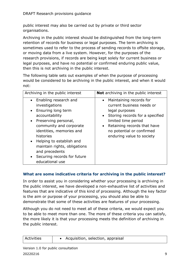public interest may also be carried out by private or third sector organisations.

Archiving in the public interest should be distinguished from the long-term retention of records for business or legal purposes. The term archiving is sometimes used to refer to the process of sending records to offsite storage, or moving data from a live system. However, for the purposes of the research provisions, if records are being kept solely for current business or legal purposes, and have no potential or confirmed enduring public value, then this is not archiving in the public interest.

The following table sets out examples of when the purpose of processing would be considered to be archiving in the public interest, and when it would not:

| Archiving in the public interest                                                                                                                                                                                                                                                                                                        | <b>Not</b> archiving in the public interest                                                                                                                                                                                                           |
|-----------------------------------------------------------------------------------------------------------------------------------------------------------------------------------------------------------------------------------------------------------------------------------------------------------------------------------------|-------------------------------------------------------------------------------------------------------------------------------------------------------------------------------------------------------------------------------------------------------|
| • Enabling research and<br>investigations<br>Ensuring long term<br>$\bullet$<br>accountability<br>Preserving personal,<br>community and corporate<br>identities, memories and<br>histories<br>Helping to establish and<br>$\bullet$<br>maintain rights, obligations<br>and precedents<br>Securing records for future<br>educational use | • Maintaining records for<br>current business needs or<br>legal purposes<br>Storing records for a specified<br>$\bullet$<br>limited time period<br>Retaining records that have<br>$\bullet$<br>no potential or confirmed<br>enduring value to society |

## <span id="page-8-0"></span>**What are some indicative criteria for archiving in the public interest?**

In order to assist you in considering whether your processing is archiving in the public interest, we have developed a non-exhaustive list of activities and features that are indicative of this kind of processing. Although the key factor is the aim or purpose of your processing, you should also be able to demonstrate that some of these activities are features of your processing.

Although you do not need to meet all of these criteria, we would expect you to be able to meet more than one. The more of these criteria you can satisfy, the more likely it is that your processing meets the definition of archiving in the public interest.

| Activities | Acquisition, selection, appraisal |
|------------|-----------------------------------|
|            |                                   |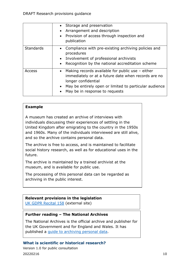|                  | Storage and preservation<br>$\bullet$<br>Arrangement and description<br>$\bullet$<br>• Provision of access through inspection and<br>publication                                                                                                       |
|------------------|--------------------------------------------------------------------------------------------------------------------------------------------------------------------------------------------------------------------------------------------------------|
| <b>Standards</b> | Compliance with pre-existing archiving policies and<br>$\bullet$<br>procedures<br>Involvement of professional archivists<br>$\bullet$<br>Recognition by the national accreditation scheme<br>$\bullet$                                                 |
| Access           | Making records available for public use $-$ either<br>$\bullet$<br>immediately or at a future date when records are no<br>longer confidential<br>May be entirely open or limited to particular audience<br>$\bullet$<br>May be in response to requests |

#### **Example**

A museum has created an archive of interviews with individuals discussing their experiences of settling in the United Kingdom after emigrating to the country in the 1950s and 1960s. Many of the individuals interviewed are still alive, and so the archive contains personal data.

The archive is free to access, and is maintained to facilitate social history research, as well as for educational uses in the future.

The archive is maintained by a trained archivist at the museum, and is available for public use.

The processing of this personal data can be regarded as archiving in the public interest.

#### **Relevant provisions in the legislation**

[UK GDPR Recital 158](https://www.legislation.gov.uk/eur/2016/679/introduction) (external site)

#### **Further reading – The National Archives**

The National Archives is the official archive and publisher for the UK Government and for England and Wales. It has published a [guide to archiving personal data.](https://www.nationalarchives.gov.uk/archives-sector/legislation/archives-data-protection-law-uk/overview/)

#### <span id="page-9-0"></span>**What is scientific or historical research?**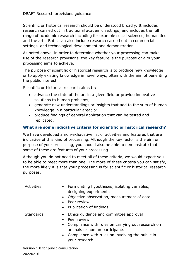Scientific or historical research should be understood broadly. It includes research carried out in traditional academic settings, and includes the full range of academic research including for example social sciences, humanities and the arts. But it can also include research carried out in commercial settings, and technological development and demonstration.

As noted above, in order to determine whether your processing can make use of the research provisions, the key feature is the purpose or aim your processing aims to achieve.

The purpose of scientific or historical research is to produce new knowledge or to apply existing knowledge in novel ways, often with the aim of benefiting the public interest.

Scientific or historical research aims to:

- advance the state of the art in a given field or provide innovative solutions to human problems;
- generate new understandings or insights that add to the sum of human knowledge in a particular area; or
- produce findings of general application that can be tested and replicated.

## <span id="page-10-0"></span>**What are some indicative criteria for scientific or historical research?**

We have developed a non-exhaustive list of activities and features that are indicative of this kind of processing. Although the key factor is the aim or purpose of your processing, you should also be able to demonstrate that some of these are features of your processing.

Although you do not need to meet all of these criteria, we would expect you to be able to meet more than one. The more of these criteria you can satisfy, the more likely it is that your processing is for scientific or historical research purposes.

| Activities       | • Formulating hypotheses, isolating variables,<br>designing experiments<br>Objective observation, measurement of data<br>• Peer review<br>• Publication of findings                                                      |
|------------------|--------------------------------------------------------------------------------------------------------------------------------------------------------------------------------------------------------------------------|
| <b>Standards</b> | • Ethics quidance and committee approval<br>• Peer review<br>• Compliance with rules on carrying out research on<br>animals or human participants<br>• Compliance with rules on involving the public in<br>your research |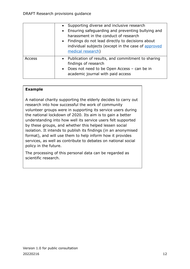|        | • Supporting diverse and inclusive research<br>• Ensuring safeguarding and preventing bullying and<br>harassment in the conduct of research<br>• Findings do not lead directly to decisions about<br>individual subjects (except in the case of approved<br>medical research) |
|--------|-------------------------------------------------------------------------------------------------------------------------------------------------------------------------------------------------------------------------------------------------------------------------------|
| Access | • Publication of results, and commitment to sharing<br>findings of research<br>• Does not need to be Open Access - can be in<br>academic journal with paid access                                                                                                             |

#### **Example**

A national charity supporting the elderly decides to carry out research into how successful the work of community volunteer groups were in supporting its service users during the national lockdown of 2020. Its aim is to gain a better understanding into how well its service users felt supported by these groups, and whether this helped lessen social isolation. It intends to publish its findings (in an anonymised format), and will use them to help inform how it provides services, as well as contribute to debates on national social policy in the future.

The processing of this personal data can be regarded as scientific research.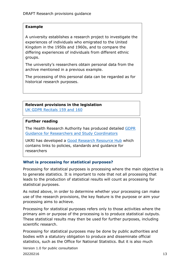#### **Example**

A university establishes a research project to investigate the experiences of individuals who emigrated to the United Kingdom in the 1950s and 1960s, and to compare the differing experiences of individuals from different ethnic groups.

The university's researchers obtain personal data from the archive mentioned in a previous example.

The processing of this personal data can be regarded as for historical research purposes.

# **Relevant provisions in the legislation**

[UK GDPR Recitals 159 and 160](https://www.legislation.gov.uk/eur/2016/679/introduction)

#### **Further reading**

The Health Research Authority has produced detailed [GDPR](https://www.hra.nhs.uk/planning-and-improving-research/policies-standards-legislation/data-protection-and-information-governance/gdpr-guidance/)  [Guidance for Researchers and Study Coordinators](https://www.hra.nhs.uk/planning-and-improving-research/policies-standards-legislation/data-protection-and-information-governance/gdpr-guidance/) 

UKRI has developed a [Good Research Resource Hub](https://www.ukri.org/about-us/policies-standards-and-data/good-research-resource-hub/) which contains links to policies, standards and guidance for researchers

#### <span id="page-12-0"></span>**What is processing for statistical purposes?**

Processing for statistical purposes is processing where the main objective is to generate statistics. It is important to note that not all processing that leads to the production of statistical results will count as processing for statistical purposes.

As noted above, in order to determine whether your processing can make use of the research provisions, the key feature is the purpose or aim your processing aims to achieve.

Processing for statistical purposes refers only to those activities where the primary aim or purpose of the processing is to produce statistical outputs. These statistical results may then be used for further purposes, including scientific research.

Processing for statistical purposes may be done by public authorities and bodies with a statutory obligation to produce and disseminate official statistics, such as the Office for National Statistics. But it is also much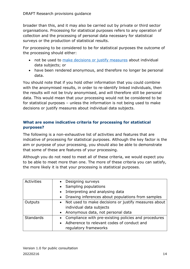broader than this, and it may also be carried out by private or third sector organisations. Processing for statistical purposes refers to any operation of collection and the processing of personal data necessary for statistical surveys or the production of statistical results.

For processing to be considered to be for statistical purposes the outcome of the processing should either:

- not be used to [make decisions or justify measures](#page-43-0) about individual data subjects; or
- have been rendered anonymous, and therefore no longer be personal data.

You should note that if you hold other information that you could combine with the anonymised results, in order to re-identify linked individuals, then the results will not be truly anonymised, and will therefore still be personal data. This would mean that your processing would not be considered to be for statistical purposes – unless the information is not being used to make decisions or justify measures about individual data subjects.

## <span id="page-13-0"></span>**What are some indicative criteria for processing for statistical purposes?**

The following is a non-exhaustive list of activities and features that are indicative of processing for statistical purposes. Although the key factor is the aim or purpose of your processing, you should also be able to demonstrate that some of these are features of your processing.

Although you do not need to meet all of these criteria, we would expect you to be able to meet more than one. The more of these criteria you can satisfy, the more likely it is that your processing is statistical purposes.

| Activities       | Designing surveys<br>$\bullet$                                 |
|------------------|----------------------------------------------------------------|
|                  | Sampling populations<br>$\bullet$                              |
|                  | Interpreting and analysing data<br>$\bullet$                   |
|                  | Drawing inferences about populations from samples<br>$\bullet$ |
| Outputs          | • Not used to make decisions or justify measures about         |
|                  | individual data subjects                                       |
|                  | • Anonymous data, not personal data                            |
| <b>Standards</b> | • Compliance with pre-existing policies and procedures         |
|                  | Adherence to relevant codes of conduct and<br>$\bullet$        |
|                  | regulatory frameworks                                          |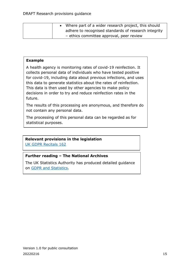|  | Where part of a wider research project, this should  |
|--|------------------------------------------------------|
|  | adhere to recognised standards of research integrity |
|  | - ethics committee approval, peer review             |

#### **Example**

A health agency is monitoring rates of covid-19 reinfection. It collects personal data of individuals who have tested positive for covid-19, including data about previous infections, and uses this data to generate statistics about the rates of reinfection. This data is then used by other agencies to make policy decisions in order to try and reduce reinfection rates in the future.

The results of this processing are anonymous, and therefore do not contain any personal data.

The processing of this personal data can be regarded as for statistical purposes.

#### **Relevant provisions in the legislation**

[UK GDPR Recitals 162](https://www.legislation.gov.uk/eur/2016/679/introduction)

#### **Further reading – The National Archives**

The UK Statistics Authority has produced detailed guidance on [GDPR and Statistics.](https://gss.civilservice.gov.uk/policy-store/uk-statistics-authority-guidance-on-the-general-data-protection-regulation-gdpr/)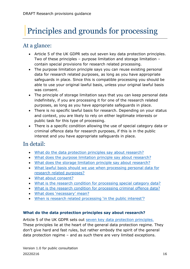# <span id="page-15-0"></span>|Principles and grounds for processing

# <span id="page-15-1"></span>At a glance:

- Article 5 of the UK GDPR sets out seven key data protection principles. Two of these principles – purpose limitation and storage limitation – contain special provisions for research related processing.
- The purpose limitation principle says you can reuse existing personal data for research related purposes, as long as you have appropriate safeguards in place. Since this is compatible processing you should be able to use your original lawful basis, unless your original lawful basis was consent.
- The principle of storage limitation says that you can keep personal data indefinitely, if you are processing it for one of the research related purposes, as long as you have appropriate safeguards in place.
- There is no specific lawful basis for research. Depending on your status and context, you are likely to rely on either legitimate interests or public task for this type of processing.
- There is a specific condition allowing the use of special category data or criminal offence data for research purposes, if this is in the public interest and you have appropriate safeguards in place.

# <span id="page-15-2"></span>In detail:

- [What do the data protection principles say about research?](#page-15-3)
- [What does the purpose limitation principle say about research?](#page-16-0)
- [What does the storage limitation principle say about research?](#page-18-0)
- [What lawful basis should we use when processing personal data for](#page-20-0) [research related purposes?](#page-20-0)
- [What about consent?](#page-20-1)
- [What is the research condition for processing special category data?](#page-22-0)
- [What is the research condition for processing criminal offence data?](#page-24-0)
- [What does 'necessary' mean?](#page-25-0)
- [When is research related processing 'in the public interest'?](#page-26-0)

## <span id="page-15-3"></span>**What do the data protection principles say about research?**

Article 5 of the UK GDPR sets out [seven key data protection principles.](https://ico.org.uk/for-organisations/guide-to-data-protection/guide-to-the-general-data-protection-regulation-gdpr/principles/) These principles lie at the heart of the general data protection regime. They don't give hard and fast rules, but rather embody the spirit of the general data protection regime – and as such there are very limited exceptions.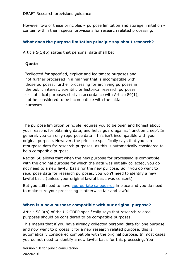However two of these principles – purpose limitation and storage limitation – contain within them special provisions for research related processing.

#### <span id="page-16-0"></span>**What does the purpose limitation principle say about research?**

Article 5(1)(b) states that personal data shall be:

#### **Quote**

"collected for specified, explicit and legitimate purposes and not further processed in a manner that is incompatible with those purposes; further processing for archiving purposes in the public interest, scientific or historical research purposes or statistical purposes shall, in accordance with Article 89(1), not be considered to be incompatible with the initial purposes."

The purpose limitation principle requires you to be open and honest about your reasons for obtaining data, and helps guard against 'function creep'. In general, you can only repurpose data if this isn't incompatible with your original purpose. However, the principle specifically says that you can repurpose data for research purposes, as this is automatically considered to be a compatible purpose.

Recital 50 allows that when the new purpose for processing is compatible with the original purpose for which the data was initially collected, you do not need to a new lawful basis for the new purpose. So if you do want to repurpose data for research purposes, you won't need to identify a new lawful basis (unless your original lawful basis was consent).

But you still need to hav[e appropriate](#page-40-0) safeguards in place and you do need to make sure your processing is otherwise fair and lawful.

#### <span id="page-16-1"></span>**When is a new purpose compatible with our original purpose?**

Article 5(1)(b) of the UK GDPR specifically says that research related purposes should be considered to be compatible purposes.

This means that if you have already collected personal data for one purpose, and now want to process it for a new research related purpose, this is automatically considered compatible with the original purpose. In most cases, you do not need to identify a new lawful basis for this processing. You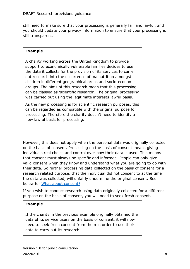still need to make sure that your processing is generally fair and lawful, and you should update your privacy information to ensure that your processing is still transparent.

### **Example**

A charity working across the United Kingdom to provide support to economically vulnerable families decides to use the data it collects for the provision of its services to carry out research into the occurrence of malnutrition amongst children in different geographical areas and socio-economic groups. The aims of this research mean that this processing can be classed as 'scientific research'. The original processing was carried out using the legitimate interests lawful basis.

As the new processing is for scientific research purposes, this can be regarded as compatible with the original purpose for processing. Therefore the charity doesn't need to identify a new lawful basis for processing.

However, this does not apply when the personal data was originally collected on the basis of consent. Processing on the basis of consent means giving individuals real choice and control over how their data is used. This means that consent must always be specific and informed. People can only give valid consent when they know and understand what you are going to do with their data. So further processing data collected on the basis of consent for a research related purpose, that the individual did not consent to at the time the data was collected, will unfairly undermine the original consent. See below for [What about consent?](#page-20-1)

If you wish to conduct research using data originally collected for a different purpose on the basis of consent, you will need to seek fresh consent.

## **Example**

If the charity in the previous example originally obtained the data of its service users on the basis of consent, it will now need to seek fresh consent from them in order to use their data to carry out its research.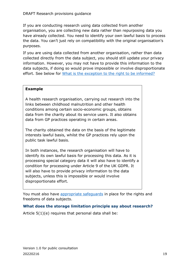#### DRAFT Research provisions guidance

If you are conducting research using data collected from another organisation, you are collecting new data rather than repurposing data you have already collected. You need to identify your own lawful basis to process the data. You can't just rely on compatibility with the original organisation's purposes.

If you are using data collected from another organisation, rather than data collected directly from the data subject, you should still update your privacy information. However, you may not have to provide this information to the data subjects, if doing so would prove impossible or involve disproportionate effort. See below for [What is the exception to the right to be informed?](#page-30-0)

#### **Example**

A health research organisation, carrying out research into the links between childhood malnutrition and other health conditions among certain socio-economic groups, obtains data from the charity about its service users. It also obtains data from GP practices operating in certain areas.

The charity obtained the data on the basis of the legitimate interests lawful basis, whilst the GP practices rely upon the public task lawful basis.

In both instances, the research organisation will have to identify its own lawful basis for processing this data. As it is processing special category data it will also have to identify a condition for processing under Article 9 of the UK GDPR. It will also have to provide privacy information to the data subjects, unless this is impossible or would involve disproportionate effort.

You must also have [appropriate safeguards](#page-40-0) in place for the rights and freedoms of data subjects.

#### <span id="page-18-0"></span>**What does the storage limitation principle say about research?**

Article  $5(1)(e)$  requires that personal data shall be: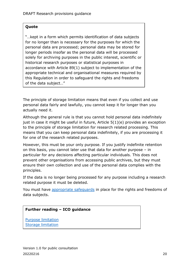#### **Quote**

"…kept in a form which permits identification of data subjects for no longer than is necessary for the purposes for which the personal data are processed; personal data may be stored for longer periods insofar as the personal data will be processed solely for archiving purposes in the public interest, scientific or historical research purposes or statistical purposes in accordance with Article 89(1) subject to implementation of the appropriate technical and organisational measures required by this Regulation in order to safeguard the rights and freedoms of the data subject…"

The principle of storage limitation means that even if you collect and use personal data fairly and lawfully, you cannot keep it for longer than you actually need it.

Although the general rule is that you cannot hold personal data indefinitely just in case it might be useful in future, Article 5(1)(e) provides an exception to the principle of storage limitation for research related processing. This means that you can keep personal data indefinitely, if you are processing it for one of the research related purposes.

However, this must be your only purpose. If you justify indefinite retention on this basis, you cannot later use that data for another purpose – in particular for any decisions affecting particular individuals. This does not prevent other organisations from accessing public archives, but they must ensure their own collection and use of the personal data complies with the principles.

If the data is no longer being processed for any purpose including a research related purpose it must be deleted.

You must have [appropriate safeguards](#page-40-0) in place for the rights and freedoms of data subjects.

#### **Further reading – ICO guidance**

[Purpose limitation](https://ico.org.uk/for-organisations/guide-to-data-protection/guide-to-the-general-data-protection-regulation-gdpr/principles/purpose-limitation/) [Storage limitation](https://ico.org.uk/for-organisations/guide-to-data-protection/guide-to-the-general-data-protection-regulation-gdpr/principles/storage-limitation/)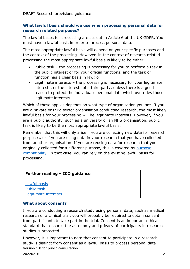#### <span id="page-20-0"></span>**What lawful basis should we use when processing personal data for research related purposes?**

The lawful bases for processing are set out in Article 6 of the UK GDPR. You must have a lawful basis in order to process personal data.

The most appropriate lawful basis will depend on your specific purposes and the context of the processing. However, in the context of research related processing the most appropriate lawful basis is likely to be either:

- Public task the processing is necessary for you to perform a task in the public interest or for your official functions, and the task or function has a clear basis in law; or
- Legitimate interests the processing is necessary for your legitimate interests, or the interests of a third party, unless there is a good reason to protect the individual's personal data which overrides those legitimate interests.

Which of these applies depends on what type of organisation you are. If you are a private or third sector organisation conducting research, the most likely lawful basis for your processing will be legitimate interests. However, if you are a public authority, such as a university or an NHS organisation, public task is likely to be the most appropriate lawful basis.

Remember that this will only arise if you are collecting new data for research purposes, or if you are using data in your research that you have collected from another organisation. If you are reusing data for research that you originally collected for a different purpose, this is covered by [purpose](#page-16-1)  [compatibility.](#page-16-1) In that case, you can rely on the existing lawful basis for processing.

#### **Further reading – ICO guidance**

[Lawful basis](https://ico.org.uk/for-organisations/guide-to-data-protection/guide-to-the-general-data-protection-regulation-gdpr/lawful-basis-for-processing/) [Public task](https://ico.org.uk/for-organisations/guide-to-data-protection/guide-to-the-general-data-protection-regulation-gdpr/lawful-basis-for-processing/public-task/) [Legitimate interests](https://ico.org.uk/for-organisations/guide-to-data-protection/guide-to-the-general-data-protection-regulation-gdpr/lawful-basis-for-processing/legitimate-interests/)

#### <span id="page-20-1"></span>**What about consent?**

If you are conducting a research study using personal data, such as medical research or a clinical trial, you will probably be required to obtain consent from participants to take part in the trial. Consent is an important ethical standard that ensures the autonomy and privacy of participants in research studies is protected.

Version 1.0 for public consultation 20220216 21 However, it is important to note that consent to participate in a research study is distinct from consent as a lawful basis to process personal data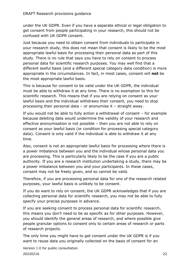under the UK GDPR. Even if you have a separate ethical or legal obligation to get consent from people participating in your research, this should not be confused with UK GDPR consent.

Just because you need to obtain consent from individuals to participate in your research study, this does not mean that consent is likely to be the most appropriate lawful basis for processing their personal data as part of this study. There is no rule that says you have to rely on consent to process personal data for scientific research purposes. You may well find that a different lawful basis (and a different special category data condition) is more appropriate in the circumstances. In fact, in most cases, consent will **not** be the most appropriate lawful basis.

This is because for consent to be valid under the UK GDPR, the individual must be able to withdraw it at any time. There is no exemption to this for scientific research. This means that if you are relying on consent as your lawful basis and the individual withdraws their consent, you need to stop processing their personal data – or anonymise it – straight away.

If you would not be able to fully action a withdrawal of consent – for example because deleting data would undermine the validity of your research and effective anonymisation is not possible – then you are not able to rely on consent as your lawful basis (or condition for processing special category data). Consent is only valid if the individual is able to withdraw it at any time.

Also, consent is not an appropriate lawful basis for processing where there is a power imbalance between you and the individual whose personal data you are processing. This is particularly likely to be the case if you are a public authority. If you are a research institution undertaking a study, there may be a power imbalance between you and your participants. In these cases, consent may not be freely given, and so cannot be valid.

Therefore, if you are processing personal data for one of the research related purposes, your lawful basis is unlikely to be consent.

If you do want to rely on consent, the UK GDPR acknowledges that if you are collecting personal data for scientific research, you may not be able to fully specify your precise purposes in advance.

If you are seeking consent to process personal data for scientific research, this means you don't need to be as specific as for other purposes. However, you should identify the general areas of research, and where possible give people granular options to consent only to certain areas of research or parts of research projects.

The only time you might have to get consent under the UK GDPR is if you want to reuse data you originally collected on the basis of consent for an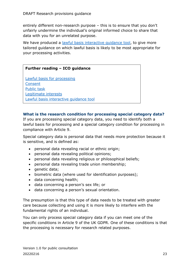entirely different non-research purpose – this is to ensure that you don't unfairly undermine the individual's original informed choice to share that data with you for an unrelated purpose.

We have produced a lawful basis interactive quidance tool, to give more tailored guidance on which lawful basis is likely to be most appropriate for your processing activities.

#### **Further reading – ICO guidance**

[Lawful basis for processing](https://ico.org.uk/for-organisations/guide-to-data-protection/guide-to-the-general-data-protection-regulation-gdpr/lawful-basis-for-processing/) [Consent](https://ico.org.uk/for-organisations/guide-to-data-protection/guide-to-the-general-data-protection-regulation-gdpr/lawful-basis-for-processing/consent/) [Public task](https://ico.org.uk/for-organisations/guide-to-data-protection/guide-to-the-general-data-protection-regulation-gdpr/lawful-basis-for-processing/public-task/) [Legitimate interests](https://ico.org.uk/for-organisations/guide-to-data-protection/guide-to-the-general-data-protection-regulation-gdpr/lawful-basis-for-processing/legitimate-interests/) [Lawful basis interactive](https://ico.org.uk/for-organisations/gdpr-resources/lawful-basis-interactive-guidance-tool/) guidance tool

#### <span id="page-22-0"></span>**What is the research condition for processing special category data?**

If you are processing special category data, you need to identify both a lawful basis for processing and a special category condition for processing in compliance with Article 9.

Special category data is personal data that needs more protection because it is sensitive, and is defined as:

- personal data revealing racial or ethnic origin;
- personal data revealing political opinions;
- personal data revealing religious or philosophical beliefs;
- personal data revealing trade union membership;
- genetic data;
- biometric data (where used for identification purposes);
- data concerning health;
- data concerning a person's sex life; or
- data concerning a person's sexual orientation.

The presumption is that this type of data needs to be treated with greater care because collecting and using it is more likely to interfere with the fundamental rights of an individual.

You can only process special category data if you can meet one of the specific conditions in Article 9 of the UK GDPR. One of these conditions is that the processing is necessary for research related purposes.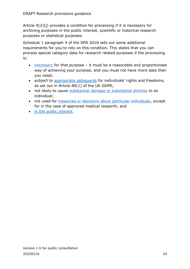Article 9(2)(j) provides a condition for processing if it is necessary for archiving purposes in the public interest, scientific or historical research purposes or statistical purposes.

Schedule 1 paragraph 4 of the DPA 2018 sets out some additional requirements for you to rely on this condition. This states that you can process special category data for research related purposes if the processing is:

- [necessary](#page-25-0) for that purpose it must be a reasonable and proportionate way of achieving your purpose, and you must not have more data than you need;
- subject to appropriate safequards for individuals' rights and freedoms, as set out in Article 89(1) of the UK GDPR;
- not likely to cause [substantial damage or substantial distress](#page-42-1) to an individual;
- not used for [measures or decisions about particular individuals,](#page-43-0) except for in the case of approved medical research; and
- [in the public interest.](#page-26-0)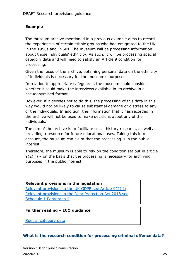#### **Example**

The museum archive mentioned in a previous example aims to record the experiences of certain ethnic groups who had emigrated to the UK in the 1950s and 1960s. The museum will be processing information about those individuals' ethnicity. As such, it will be processing special category data and will need to satisfy an Article 9 condition for processing.

Given the focus of the archive, obtaining personal data on the ethnicity of individuals is necessary for the museum's purposes.

In relation to appropriate safeguards, the museum could consider whether it could make the interviews available in its archive in a pseudonymised format.

However, if it decides not to do this, the processing of this data in this way would not be likely to cause substantial damage or distress to any of the individuals. In addition, the information that it has recorded in the archive will not be used to make decisions about any of the individuals.

The aim of the archive is to facilitate social history research, as well as providing a resource for future educational uses. Taking this into account, the museum can claim that the processing is in the public interest.

Therefore, the museum is able to rely on the condition set out in article  $9(2)(i)$  – on the basis that the processing is necessary for archiving purposes in the public interest.

#### **Relevant provisions in the legislation**

[Relevant provisions in the UK GDPR see Article 9\(2\)\(j\)](https://www.legislation.gov.uk/eur/2016/679/contents) [Relevant provisions in the Data Protection Act 2018 see](https://www.legislation.gov.uk/ukpga/2018/12/contents/enacted)  [Schedule 1 Paragraph 4](https://www.legislation.gov.uk/ukpga/2018/12/contents/enacted)

#### **Further reading – ICO guidance**

[Special category data](https://ico.org.uk/for-organisations/guide-to-data-protection/guide-to-the-general-data-protection-regulation-gdpr/lawful-basis-for-processing/special-category-data/)

#### <span id="page-24-0"></span>**What is the research condition for processing criminal offence data?**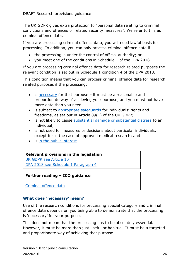The UK GDPR gives extra protection to "personal data relating to criminal convictions and offences or related security measures". We refer to this as criminal offence data.

If you are processing criminal offence data, you will need lawful basis for processing. In addition, you can only process criminal offence data if:

- the processing is under the control of official authority; or
- you meet one of the conditions in Schedule 1 of the DPA 2018.

If you are processing criminal offence data for research related purposes the relevant condition is set out in Schedule 1 condition 4 of the DPA 2018.

This condition means that you can process criminal offence data for research related purposes if the processing:

- is [necessary](#page-25-0) for that purpose it must be a reasonable and proportionate way of achieving your purpose, and you must not have more data than you need;
- is subject to [appropriate safeguards](#page-40-0) for individuals' rights and freedoms, as set out in Article 89(1) of the UK GDPR;
- is not likely to cause [substantial damage or substantial distress](#page-42-1) to an individual;
- is not used for measures or decisions about particular individuals, except for in the case of approved medical research; and
- is [in the public interest.](#page-26-0)

#### **Relevant provisions in the legislation**

[UK GDPR see Article 10](https://www.legislation.gov.uk/eur/2016/679/contents) [DPA 2018 see Schedule 1 Paragraph 4](https://www.legislation.gov.uk/ukpga/2018/12/contents/enacted)

#### **Further reading – ICO guidance**

[Criminal offence data](https://ico.org.uk/for-organisations/guide-to-data-protection/guide-to-the-general-data-protection-regulation-gdpr/lawful-basis-for-processing/criminal-offence-data/)

#### <span id="page-25-0"></span>**What does 'necessary' mean?**

Use of the research conditions for processing special category and criminal offence data depends on you being able to demonstrate that the processing is 'necessary' for your purpose.

This does not mean that the processing has to be absolutely essential. However, it must be more than just useful or habitual. It must be a targeted and proportionate way of achieving that purpose.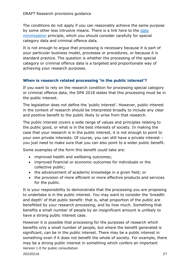The conditions do not apply if you can reasonably achieve the same purpose by some other less intrusive means. There is a link here to the [data](https://ico.org.uk/for-organisations/guide-to-data-protection/guide-to-the-general-data-protection-regulation-gdpr/principles/data-minimisation/)  [minimisation](https://ico.org.uk/for-organisations/guide-to-data-protection/guide-to-the-general-data-protection-regulation-gdpr/principles/data-minimisation/) principle, which you should consider carefully for special category data and criminal offence data.

It is not enough to argue that processing is necessary because it is part of your particular business model, processes or procedures, or because it is standard practice. The question is whether the processing of the special category or criminal offence data is a targeted and proportionate way of achieving your research purposes.

### <span id="page-26-0"></span>**When is research related processing 'in the public interest'?**

If you want to rely on the research condition for processing special category or criminal offence data, the DPA 2018 states that this processing must be in the public interest.

The legislation does not define the 'public interest'. However, public interest in the context of research should be interpreted broadly to include any clear and positive benefit to the public likely to arise from that research.

The public interest covers a wide range of values and principles relating to the public good, or what is in the best interests of society. In making the case that your research is in the public interest, it is not enough to point to your own private interests. Of course, you can still have a private interest – you just need to make sure that you can also point to a wider public benefit.

Some examples of the form this benefit could take are:

- improved health and wellbeing outcomes;
- improved financial or economic outcomes for individuals or the collective public;
- the advancement of academic knowledge in a given field; or
- the provision of more efficient or more effective products and services for the public.

It is your responsibility to demonstrate that the processing you are proposing to undertake is in the public interest. You may want to consider the 'breadth and depth' of that public benefit: that is, what proportion of the public are benefitted by your research processing, and by how much. Something that benefits a small number of people by an insignificant amount is unlikely to have a strong public interest case.

Version 1.0 for public consultation 20220216 27 However it is possible that processing for the purposes of research which benefits only a small number of people, but where the benefit generated is significant, can be in the public interest. There may be a public interest in something even if it does not benefit the whole of society. For example, there may be a strong public interest in something which confers an important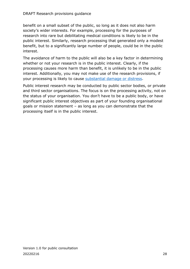#### DRAFT Research provisions guidance

benefit on a small subset of the public, so long as it does not also harm society's wider interests. For example, processing for the purposes of research into rare but debilitating medical conditions is likely to be in the public interest. Similarly, research processing that generated only a modest benefit, but to a significantly large number of people, could be in the public interest.

The avoidance of harm to the public will also be a key factor in determining whether or not your research is in the public interest. Clearly, if the processing causes more harm than benefit, it is unlikely to be in the public interest. Additionally, you may not make use of the research provisions, if your processing is likely to cause [substantial damage or distress.](#page-42-1)

Public interest research may be conducted by public sector bodies, or private and third sector organisations. The focus is on the processing activity, not on the status of your organisation. You don't have to be a public body, or have significant public interest objectives as part of your founding organisational goals or mission statement – as long as you can demonstrate that the processing itself is in the public interest.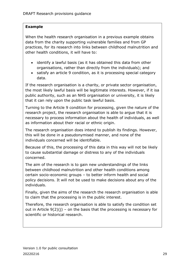#### **Example**

When the health research organisation in a previous example obtains data from the charity supporting vulnerable families and from GP practices, for its research into links between childhood malnutrition and other health conditions, it will have to:

- identify a lawful basis (as it has obtained this data from other organisations, rather than directly from the individuals); and
- satisfy an article 9 condition, as it is processing special category data.

If the research organisation is a charity, or private sector organisation, the most likely lawful basis will be legitimate interests. However, if it isa public authority, such as an NHS organisation or university, it is likely that it can rely upon the public task lawful basis.

Turning to the Article 9 condition for processing, given the nature of the research project, the research organisation is able to argue that it is necessary to process information about the health of individuals, as well as information about their racial or ethnic origin.

The research organisation does intend to publish its findings. However, this will be done in a pseudonymised manner, and none of the individuals concerned will be identifiable.

Because of this, the processing of this data in this way will not be likely to cause substantial damage or distress to any of the individuals concerned.

The aim of the research is to gain new understandings of the links between childhood malnutrition and other health conditions among certain socio-economic groups – to better inform health and social policy decisions. It will not be used to make decisions about any of the individuals.

Finally, given the aims of the research the research organisation is able to claim that the processing is in the public interest.

Therefore, the research organisation is able to satisfy the condition set out in Article  $9(2)(i)$  – on the basis that the processing is necessary for scientific or historical research.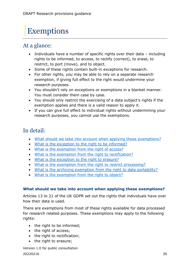# <span id="page-29-0"></span>**Exemptions**

# <span id="page-29-1"></span>At a glance:

- Individuals have a number of specific rights over their data  $-$  including rights to be informed, to access, to rectify (correct), to erase, to restrict, to port (move), and to object.
- Some of these rights contain built-in exceptions for research.
- For other rights, you may be able to rely on a separate research exemption, if giving full effect to the right would undermine your research purposes.
- You shouldn't rely on exceptions or exemptions in a blanket manner. You must consider them case by case.
- You should only restrict the exercising of a data subject's rights if the exemption applies and there is a valid reason to apply it.
- If you can give full effect to individual rights without undermining your research purposes, you cannot use the exemptions.

# <span id="page-29-2"></span>In detail:

- [What should we take into account when applying](#page-29-3) these exemptions?
- What is the exception to [the right to be informed?](#page-30-0)
- [What is the exemption from the right](#page-32-0) of access?
- [What is the exemption from the right to rectification?](#page-33-0)
- [What is the exception to](#page-34-0) the right to erasure?
- [What is the exemption from the right to restrict processing?](#page-35-0)
- What is the archiving [exemption from the right to data portability?](#page-36-0)
- [What is the exemption from the right to object?](#page-37-0)

#### <span id="page-29-3"></span>**What should we take into account when applying these exemptions?**

Articles 13 to 21 of the UK GDPR set out the rights that individuals have over how their data is used.

There are exemptions from most of these rights available for data processed for research related purposes. These exemptions may apply to the following rights:

- the right to be informed;
- the right of access;
- the right to rectification;
- the right to erasure;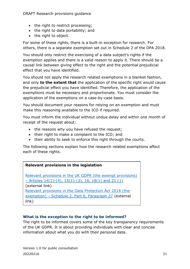- the right to restrict processing;
- the right to data portability; and
- the right to object.

For some of these rights, there is a built-in exception for research. For others, there is a separate exemption set out in Schedule 2 of the DPA 2018.

You should only restrict the exercising of a data subject's rights if the exemption applies and there is a valid reason to apply it. There should be a causal link between giving effect to the right and the potential prejudicial effect that you have identified.

You should not apply the research related exemptions in a blanket fashion, and only **to the extent that** the application of the specific right would cause the prejudicial effect you have identified. Therefore, the application of the exemptions must be necessary and proportionate. You must consider the application of the exemptions on a case-by-case basis.

You should document your reasons for relying on an exemption and must make this reasoning available to the ICO if required.

You must inform the individual without undue delay and within one month of receipt of the request about:

- the reasons why you have refused the request;
- their right to make a complaint to the ICO; and
- their ability to seek to enforce this right through the courts.

The following sections explain how the research related exemptions affect each of these rights.

#### **Relevant provisions in the legislation**

[Relevant provisions in the UK GDPR \(the exempt provisions\)](https://www.legislation.gov.uk/eur/2016/679/contents)  – [Articles 14\(1\)-\(4\), 15\(1\)-\(3\), 16, 18\(1\) and 21 \(1\)](https://www.legislation.gov.uk/eur/2016/679/contents) (external link) [Relevant provisions in the Data Protection Act 2018](https://www.legislation.gov.uk/ukpga/2018/12/contents/enacted) (the exemption) – [Schedule 2, Part 6, Paragraph 27](https://www.legislation.gov.uk/ukpga/2018/12/contents/enacted) (external link)

#### <span id="page-30-0"></span>**What is the exception to the right to be informed?**

The right to be informed covers some of the key transparency requirements of the UK GDPR. It is about providing individuals with clear and concise information about what you do with their personal data.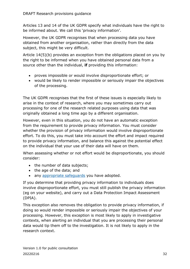Articles 13 and 14 of the UK GDPR specify what individuals have the right to be informed about. We call this 'privacy information'.

However, the UK GDPR recognises that when processing data you have obtained from another organisation, rather than directly from the data subject, this might be very difficult.

Article 14(5)(b) provides an exception from the obligations placed on you by the right to be informed when you have obtained personal data from a source other than the individual, **if** providing this information:

- proves impossible or would involve disproportionate effort; or
- would be likely to render impossible or seriously impair the objectives of the processing.

The UK GDPR recognises that the first of these issues is especially likely to arise in the context of research, where you may sometimes carry out processing for one of the research related purposes using data that was originally obtained a long time ago by a different organisation.

However, even in this situation, you do not have an automatic exception from the requirement to provide privacy information. You must consider whether the provision of privacy information would involve disproportionate effort. To do this, you must take into account the effort and impact required to provide privacy information, and balance this against the potential effect on the individual that your use of their data will have on them.

When assessing whether or not effort would be disproportionate, you should consider:

- the number of data subjects;
- the age of the data; and
- any [appropriate safeguards](#page-40-0) you have adopted.

If you determine that providing privacy information to individuals does involve disproportionate effort, you must still publish the privacy information (eg on your website), and carry out a Data Protection Impact Assessment (DPIA).

This exception also removes the obligation to provide privacy information, if doing so would render impossible or seriously impair the objectives of your processing. However, this exception is most likely to apply in investigative contexts, when alerting an individual that you are processing their personal data would tip them off to the investigation. It is not likely to apply in the research context.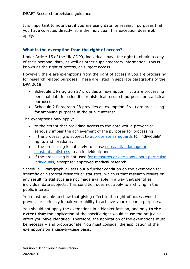It is important to note that if you are using data for research purposes that you have collected directly from the individual, this exception does **not** apply.

#### <span id="page-32-0"></span>**What is the exemption from the right of access?**

Under Article 15 of the UK GDPR, individuals have the right to obtain a copy of their personal data, as well as other supplementary information. This is known as the right of access, or subject access.

However, there are exemptions from the right of access if you are processing for research related purposes. These are listed in separate paragraphs of the DPA 2018:

- Schedule 2 Paragraph 27 provides an exemption if you are processing personal data for scientific or historical research purposes or statistical purposes.
- Schedule 2 Paragraph 28 provides an exemption if you are processing for archiving purposes in the public interest.

The exemptions only apply:

- to the extent that providing access to the data would prevent or seriously impair the achievement of the purposes for processing;
- if the processing is subject to appropriate safequards for individuals' rights and freedoms;
- if the processing is not likely to cause [substantial damage or](#page-42-1)  [substantial distress](#page-42-1) to an individual; and
- if the processing is not used for measures or decisions about particular [individuals,](#page-43-0) except for approved medical research.

Schedule 2 Paragraph 27 sets out a further condition on the exemption for scientific or historical research or statistics, which is that research results or any resulting statistics are not made available in a way that identifies individual data subjects. This condition does not apply to archiving in the public interest.

You must be able to show that giving effect to the right of access would prevent or seriously impair your ability to achieve your research purposes.

You should not apply the exemptions in a blanket fashion, and only **to the extent that** the application of the specific right would cause the prejudicial effect you have identified. Therefore, the application of the exemptions must be necessary and proportionate. You must consider the application of the exemptions on a case-by-case basis.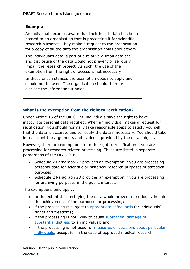#### **Example**

An individual becomes aware that their health data has been passed to an organisation that is processing it for scientific research purposes. They make a request to the organisation for a copy of all the data the organisation holds about them.

The individual's data is part of a relatively small data set, and disclosure of the data would not prevent or seriously impair the research project. As such, the use of the exemption from the right of access is not necessary.

In these circumstances the exemption does not apply and should not be used. The organisation should therefore disclose the information it holds.

#### <span id="page-33-0"></span>**What is the exemption from the right to rectification?**

Under Article 16 of the UK GDPR, individuals have the right to have inaccurate personal data rectified. When an individual makes a request for rectification, you should normally take reasonable steps to satisfy yourself that the data is accurate and to rectify the data if necessary. You should take into account the arguments and evidence provided by the data subject.

However, there are exemptions from the right to rectification if you are processing for research related processing. These are listed in separate paragraphs of the DPA 2018:

- Schedule 2 Paragraph 27 provides an exemption if you are processing personal data for scientific or historical research purposes or statistical purposes.
- Schedule 2 Paragraph 28 provides an exemption if you are processing for archiving purposes in the public interest.

The exemptions only apply:

- to the extent that rectifying the data would prevent or seriously impair the achievement of the purposes for processing;
- if the processing is subject to [appropriate safeguards](#page-40-0) for individuals' rights and freedoms;
- if the processing is not likely to cause substantial damage or [substantial distress](#page-42-1) to an individual; and
- if the processing is not used for [measures or decisions about particular](#page-43-0)  [individuals,](#page-43-0) except for in the case of approved medical research.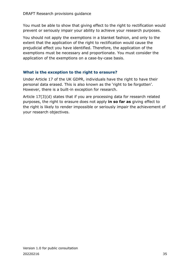You must be able to show that giving effect to the right to rectification would prevent or seriously impair your ability to achieve your research purposes.

You should not apply the exemptions in a blanket fashion, and only to the extent that the application of the right to rectification would cause the prejudicial effect you have identified. Therefore, the application of the exemptions must be necessary and proportionate. You must consider the application of the exemptions on a case-by-case basis.

### <span id="page-34-0"></span>**What is the exception to the right to erasure?**

Under Article 17 of the UK GDPR, individuals have the right to have their personal data erased. This is also known as the 'right to be forgotten'. However, there is a built-in exception for research.

Article 17(3)(d) states that if you are processing data for research related purposes, the right to erasure does not apply **in so far as** giving effect to the right is likely to render impossible or seriously impair the achievement of your research objectives.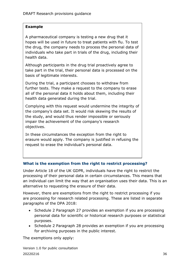#### **Example**

A pharmaceutical company is testing a new drug that it hopes will be used in future to treat patients with flu. To test the drug, the company needs to process the personal data of individuals who take part in trials of the drug, including their health data.

Although participants in the drug trial proactively agree to take part in the trial, their personal data is processed on the basis of legitimate interests.

During the trial, a participant chooses to withdraw from further tests. They make a request to the company to erase all of the personal data it holds about them, including their health data generated during the trial.

Complying with this request would undermine the integrity of the company's data set. It would risk skewing the results of the study, and would thus render impossible or seriously impair the achievement of the company's research objectives.

In these circumstances the exception from the right to erasure would apply. The company is justified in refusing the request to erase the individual's personal data.

#### <span id="page-35-0"></span>**What is the exemption from the right to restrict processing?**

Under Article 18 of the UK GDPR, individuals have the right to restrict the processing of their personal data in certain circumstances. This means that an individual can limit the way that an organisation uses their data. This is an alternative to requesting the erasure of their data.

However, there are exemptions from the right to restrict processing if you are processing for research related processing. These are listed in separate paragraphs of the DPA 2018:

- Schedule 2 Paragraph 27 provides an exemption if you are processing personal data for scientific or historical research purposes or statistical purposes.
- Schedule 2 Paragraph 28 provides an exemption if you are processing for archiving purposes in the public interest.

The exemptions only apply: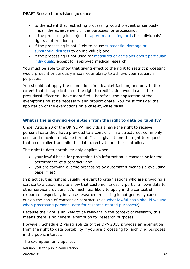DRAFT Research provisions guidance

- to the extent that restricting processing would prevent or seriously impair the achievement of the purposes for processing;
- if the processing is subject to [appropriate safeguards](#page-40-0) for individuals' rights and freedoms;
- if the processing is not likely to cause [substantial damage or](#page-42-1)  [substantial distress](#page-42-1) to an individual; and
- if the processing is not used for [measures or decisions about particular](#page-43-0)  [individuals,](#page-43-0) except for approved medical research.

You must be able to show that giving effect to the right to restrict processing would prevent or seriously impair your ability to achieve your research purposes.

You should not apply the exemptions in a blanket fashion, and only to the extent that the application of the right to rectification would cause the prejudicial effect you have identified. Therefore, the application of the exemptions must be necessary and proportionate. You must consider the application of the exemptions on a case-by-case basis.

### <span id="page-36-0"></span>**What is the archiving exemption from the right to data portability?**

Under Article 20 of the UK GDPR, individuals have the right to receive personal data they have provided to a controller in a structured, commonly used and machine readable format. It also gives them the right to request that a controller transmits this data directly to another controller.

The right to data portability only applies when:

- your lawful basis for processing this information is consent **or** for the performance of a contract; and
- you are carrying out the processing by automated means (ie excluding paper files).

In practice, this right is usually relevant to organisations who are providing a service to a customer, to allow that customer to easily port their own data to other service providers. It's much less likely to apply in the context of research – especially because research processing is not generally carried out on the basis of consent or contract. (See [what lawful basis should we use](#page-20-0)  [when processing personal data for research related purposes?\)](#page-20-0)

Because the right is unlikely to be relevant in the context of research, this means there is no general exemption for research purposes.

However, Schedule 2 Paragraph 28 of the DPA 2018 provides an exemption from the right to data portability if you are processing for archiving purposes in the public interest.

The exemption only applies: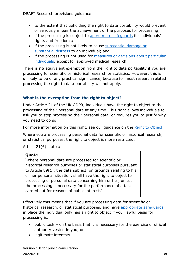- to the extent that upholding the right to data portability would prevent or seriously impair the achievement of the purposes for processing;
- if the processing is subject to [appropriate safeguards](#page-40-0) for individuals' rights and freedoms;
- if the processing is not likely to cause [substantial damage or](#page-42-1)  [substantial distress](#page-42-1) to an individual; and
- if the processing is not used for [measures or decisions about particular](#page-43-0)  [individuals,](#page-43-0) except for approved medical research.

There is **no** equivalent exemption from the right to data portability if you are processing for scientific or historical research or statistics. However, this is unlikely to be of any practical significance, because for most research related processing the right to data portability will not apply.

## <span id="page-37-0"></span>**What is the exemption from the right to object?**

Under Article 21 of the UK GDPR, individuals have the right to object to the processing of their personal data at any time. This right allows individuals to ask you to stop processing their personal data, or requires you to justify why you need to do so.

For more information on this right, see our guidance on the [Right to Object.](https://ico.org.uk/for-organisations/guide-to-data-protection/guide-to-the-general-data-protection-regulation-gdpr/individual-rights/right-to-object/)

Where you are processing personal data for scientific or historical research, or statistical purposes, the right to object is more restricted.

Article 21(6) states:

#### **Quote**

'Where personal data are processed for scientific or historical research purposes or statistical purposes pursuant to Article 89(1), the data subject, on grounds relating to his or her personal situation, shall have the right to object to processing of personal data concerning him or her, unless the processing is necessary for the performance of a task carried out for reasons of public interest.'

Effectively this means that if you are processing data for scientific or historical research, or statistical purposes, and have [appropriate safeguards](#page-40-0) in place the individual only has a right to object if your lawful basis for processing is:

- public task on the basis that it is necessary for the exercise of official authority vested in you, or
- legitimate interests.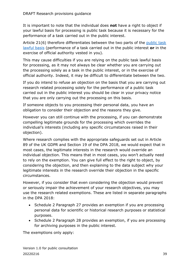It is important to note that the individual does **not** have a right to object if your lawful basis for processing is public task because it is necessary for the performance of a task carried out in the public interest.

Article 21(6) therefore differentiates between the two parts of the [public task](https://ico.org.uk/for-organisations/guide-to-the-general-data-protection-regulation-gdpr/lawful-basis-for-processing/public-task/)  [lawful basis](https://ico.org.uk/for-organisations/guide-to-the-general-data-protection-regulation-gdpr/lawful-basis-for-processing/public-task/) (performance of a task carried out in the public interest **or** in the exercise of official authority vested in you).

This may cause difficulties if you are relying on the public task lawful basis for processing, as it may not always be clear whether you are carrying out the processing solely as a task in the public interest, or in the exercise of official authority. Indeed, it may be difficult to differentiate between the two.

If you do intend to refuse an objection on the basis that you are carrying out research related processing solely for the performance of a public task carried out in the public interest you should be clear in your privacy notice that you are only carrying out the processing on this basis.

If someone objects to you processing their personal data, you have an obligation to consider their objection and the reasons they give.

However you can still continue with the processing, if you can demonstrate compelling legitimate grounds for the processing which overrides the individual's interests (including any specific circumstances raised in their objection).

Where research complies with the appropriate safeguards set out in Article 89 of the UK GDPR and Section 19 of the DPA 2018, we would expect that in most cases, the legitimate interests in the research would override an individual objection. This means that in most cases, you won't actually need to rely on the exemption. You can give full effect to the right to object, by considering the objection, and then explaining to the data subject why your legitimate interests in the research override their objection in the specific circumstances.

However, if you consider that even considering the objection would prevent or seriously impair the achievement of your research objectives, you may use the research related exemptions. These are listed in separate paragraphs in the DPA 2018:

- Schedule 2 Paragraph 27 provides an exemption if you are processing personal data for scientific or historical research purposes or statistical purposes.
- Schedule 2 Paragraph 28 provides an exemption, if you are processing for archiving purposes in the public interest.

The exemptions only apply: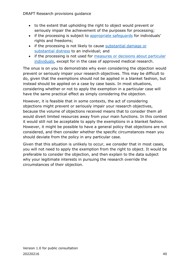- to the extent that upholding the right to object would prevent or seriously impair the achievement of the purposes for processing;
- if the processing is subject to [appropriate safeguards](#page-40-0) for individuals' rights and freedoms;
- if the processing is not likely to cause [substantial damage or](#page-42-1)  [substantial distress](#page-42-1) to an individual; and
- if the processing is not used for [measures or decisions about particular](#page-43-0)  [individuals,](#page-43-0) except for in the case of approved medical research.

The onus is on you to demonstrate why even considering the objection would prevent or seriously impair your research objectives. This may be difficult to do, given that the exemptions should not be applied in a blanket fashion, but instead should be applied on a case by case basis. In most situations, considering whether or not to apply the exemption in a particular case will have the same practical effect as simply considering the objection.

However, it is feasible that in some contexts, the act of considering objections might prevent or seriously impair your research objectives, because the volume of objections received means that to consider them all would divert limited resources away from your main functions. In this context it would still not be acceptable to apply the exemptions in a blanket fashion. However, it might be possible to have a general policy that objections are not considered, and then consider whether the specific circumstances mean you should deviate from the policy in any particular case.

Given that this situation is unlikely to occur, we consider that in most cases, you will not need to apply the exemption from the right to object. It would be preferable to consider the objection, and then explain to the data subject why your legitimate interests in pursuing the research override the circumstances of their objection.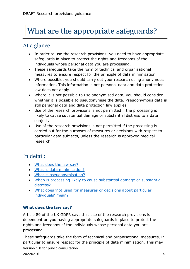# <span id="page-40-0"></span>What are the appropriate safeguards?

# <span id="page-40-1"></span>At a glance:

- In order to use the research provisions, you need to have appropriate safeguards in place to protect the rights and freedoms of the individuals whose personal data you are processing.
- These safeguards take the form of technical and organisational measures to ensure respect for the principle of data minimisation.
- Where possible, you should carry out your research using anonymous information. This information is not personal data and data protection law does not apply.
- Where it is not possible to use anonymised data, you should consider whether it is possible to pseudonymise the data. Pseudonymous data is still personal data and data protection law applies.
- Use of the research provisions is not permitted if the processing is likely to cause substantial damage or substantial distress to a data subject.
- Use of the research provisions is not permitted if the processing is carried out for the purposes of measures or decisions with respect to particular data subjects, unless the research is approved medical research.

# <span id="page-40-2"></span>In detail:

- [What does the law say?](#page-40-3)
- [What is data minimisation?](#page-41-0)
- [What is pseudonymisation?](#page-42-0)
- [When is processing likely to cause substantial damage or substantial](#page-42-1)  [distress?](#page-42-1)
- [What does 'not used for measures or decisions about particular](#page-43-0)  [individuals' mean?](#page-43-0)

## <span id="page-40-3"></span>**What does the law say?**

Article 89 of the UK GDPR says that use of the research provisions is dependent on you having appropriate safeguards in place to protect the rights and freedoms of the individuals whose personal data you are processing.

Version 1.0 for public consultation 20220216 41 These safeguards take the form of technical and organisational measures, in particular to ensure respect for the principle of data minimisation. This may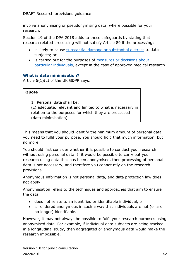involve anonymising or pseudonymising data, where possible for your research.

Section 19 of the DPA 2018 adds to these safeguards by stating that research related processing will not satisfy Article 89 if the processing:

- is likely to cause [substantial damage or substantial distress](#page-42-1) to data subjects; or
- is carried out for the purposes of measures or [decisions about](#page-43-0)  [particular individuals,](#page-43-0) except in the case of approved medical research.

## <span id="page-41-0"></span>**What is data minimisation?**

Article 5(1)(c) of the UK GDPR says:

### **Quote**

1. Personal data shall be: (c) adequate, relevant and limited to what is necessary in relation to the purposes for which they are processed (data minimisation)

This means that you should identify the minimum amount of personal data you need to fulfil your purpose. You should hold that much information, but no more.

You should first consider whether it is possible to conduct your research without using personal data. If it would be possible to carry out your research using data that has been anonymised, then processing of personal data is not necessary, and therefore you cannot rely on the research provisions.

Anonymous information is not personal data, and data protection law does not apply.

Anonymisation refers to the techniques and approaches that aim to ensure the data:

- does not relate to an identified or identifiable individual, or
- is rendered anonymous in such a way that individuals are not (or are no longer) identifiable.

However, it may not always be possible to fulfil your research purposes using anonymised data. For example, if individual data subjects are being tracked in a longitudinal study, then aggregated or anonymous data would make the research impossible.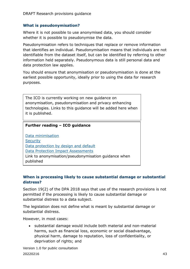#### <span id="page-42-0"></span>**What is pseudonymisation?**

Where it is not possible to use anonymised data, you should consider whether it is possible to pseudonymise the data.

Pseudonymisation refers to techniques that replace or remove information that identifies an individual. Pseudonymisation means that individuals are not identifiable from the dataset itself, but can be identified by referring to other information held separately. Pseudonymous data is still personal data and data protection law applies.

You should ensure that anonymisation or pseudonymisation is done at the earliest possible opportunity, ideally prior to using the data for research purposes.

The ICO is currently working on new guidance on anonymisation, pseudonymisation and privacy enhancing technologies. Links to this guidance will be added here when it is published.

#### **Further reading – ICO guidance**

[Data minimisation](https://ico.org.uk/for-organisations/guide-to-data-protection/guide-to-the-general-data-protection-regulation-gdpr/principles/data-minimisation/) **[Security](https://ico.org.uk/for-organisations/guide-to-data-protection/guide-to-the-general-data-protection-regulation-gdpr/security/)** [Data protection by design and default](https://ico.org.uk/for-organisations/guide-to-data-protection/guide-to-the-general-data-protection-regulation-gdpr/accountability-and-governance/data-protection-by-design-and-default/) [Data Protection Impact Assessments](https://ico.org.uk/for-organisations/guide-to-data-protection/guide-to-the-general-data-protection-regulation-gdpr/accountability-and-governance/data-protection-impact-assessments/) Link to anonymisation/pseudonymisation guidance when published

#### <span id="page-42-1"></span>**When is processing likely to cause substantial damage or substantial distress?**

Section 19(2) of the DPA 2018 says that use of the research provisions is not permitted if the processing is likely to cause substantial damage or substantial distress to a data subject.

The legislation does not define what is meant by substantial damage or substantial distress.

However, in most cases:

• substantial damage would include both material and non-material harms, such as financial loss, economic or social disadvantage, physical harm, damage to reputation, loss of confidentiality, or deprivation of rights; and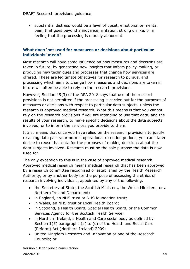• substantial distress would be a level of upset, emotional or mental pain, that goes beyond annoyance, irritation, strong dislike, or a feeling that the processing is morally abhorrent.

### <span id="page-43-0"></span>**What does 'not used for measures or decisions about particular individuals' mean?**

Most research will have some influence on how measures and decisions are taken in future, by generating new insights that inform policy-making, or producing new techniques and processes that change how services are offered. These are legitimate objectives for research to pursue, and processing which aims to change how measures and decisions are taken in future will often be able to rely on the research provisions.

However, Section 19(3) of the DPA 2018 says that use of the research provisions is not permitted if the processing is carried out for the purposes of measures or decisions with respect to particular data subjects, unless the research is approved medical research. What this means is that you cannot rely on the research provisions if you are intending to use that data, and the results of your research, to make specific decisions about the data subjects involved, or to inform the services you provide to them.

It also means that once you have relied on the research provisions to justify retaining data past your normal operational retention periods, you can't later decide to reuse that data for the purposes of making decisions about the data subjects involved. Research must be the sole purpose the data is now used for.

The only exception to this is in the case of approved medical research. Approved medical research means medical research that has been approved by a research committee recognised or established by the Health Research Authority, or by another body for the purpose of assessing the ethics of research involving individuals, appointed by any of the following:

- the Secretary of State, the Scottish Ministers, the Welsh Ministers, or a Northern Ireland Department;
- in England, an NHS trust or NHS foundation trust;
- in Wales, an NHS trust or Local Health Board;
- in Scotland, a Health Board, Special Health Board, or the Common Services Agency for the Scottish Health Service;
- in Northern Ireland, a Health and Care social body as defined by Section 1(5) paragraphs (a) to (e) of the Health and Social Care (Reform) Act (Northern Ireland) 2009;
- United Kingdom Research and Innovation or one of the Research Councils; or